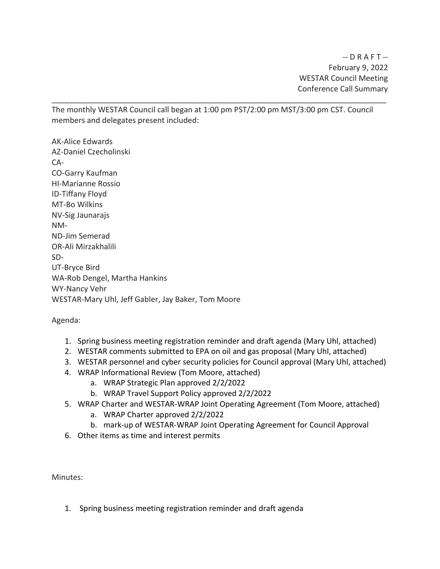The monthly WESTAR Council call began at 1:00 pm PST/2:00 pm MST/3:00 pm CST. Council members and delegates present included:

\_\_\_\_\_\_\_\_\_\_\_\_\_\_\_\_\_\_\_\_\_\_\_\_\_\_\_\_\_\_\_\_\_\_\_\_\_\_\_\_\_\_\_\_\_\_\_\_\_\_\_\_\_\_\_\_\_\_\_\_\_\_\_\_\_\_\_\_\_\_\_\_\_\_\_\_\_\_

AK-Alice Edwards AZ-Daniel Czecholinski CA-CO-Garry Kaufman HI-Marianne Rossio ID-Tiffany Floyd MT-Bo Wilkins NV-Sig Jaunarajs NM-ND-Jim Semerad OR-Ali Mirzakhalili SD-UT-Bryce Bird WA-Rob Dengel, Martha Hankins WY-Nancy Vehr WESTAR-Mary Uhl, Jeff Gabler, Jay Baker, Tom Moore

Agenda:

- 1. Spring business meeting registration reminder and draft agenda (Mary Uhl, attached)
- 2. WESTAR comments submitted to EPA on oil and gas proposal (Mary Uhl, attached)
- 3. WESTAR personnel and cyber security policies for Council approval (Mary Uhl, attached)
- 4. WRAP Informational Review (Tom Moore, attached)
	- a. WRAP Strategic Plan approved 2/2/2022
	- b. WRAP Travel Support Policy approved 2/2/2022
- 5. WRAP Charter and WESTAR-WRAP Joint Operating Agreement (Tom Moore, attached)
	- a. WRAP Charter approved 2/2/2022
	- b. mark-up of WESTAR-WRAP Joint Operating Agreement for Council Approval
- 6. Other items as time and interest permits

Minutes:

1. Spring business meeting registration reminder and draft agenda